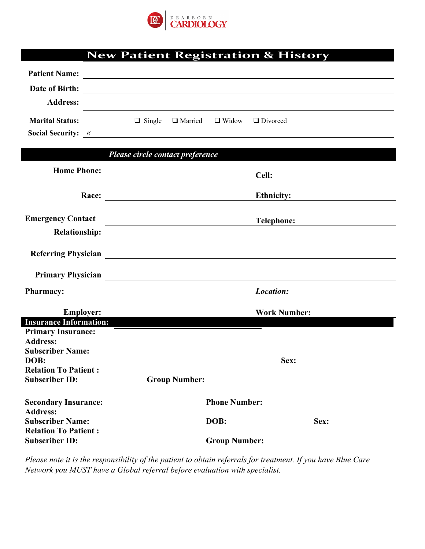

|  | <b>New Patient Registration &amp; History</b> |  |
|--|-----------------------------------------------|--|
|  |                                               |  |

| <b>Patient Name:</b>                                   |                                                                    |                      |                     |
|--------------------------------------------------------|--------------------------------------------------------------------|----------------------|---------------------|
| Date of Birth:                                         | <u> 1989 - Andrea Stadt, fransk politik (d. 1989)</u>              |                      |                     |
| <b>Address:</b>                                        |                                                                    |                      |                     |
|                                                        | Marital Status: <u>Q Single Q Married Q Widow</u> Q Divorced       |                      |                     |
|                                                        | Social Security: <u>«</u>                                          |                      |                     |
|                                                        |                                                                    |                      |                     |
|                                                        | Please circle contact preference                                   |                      |                     |
| <b>Home Phone:</b>                                     |                                                                    |                      |                     |
|                                                        |                                                                    |                      |                     |
|                                                        |                                                                    |                      | Ethnicity:          |
| <b>Emergency Contact</b>                               |                                                                    |                      | Telephone:          |
|                                                        |                                                                    |                      |                     |
|                                                        |                                                                    |                      |                     |
|                                                        |                                                                    |                      |                     |
|                                                        |                                                                    |                      |                     |
| <b>Pharmacy:</b>                                       | <u> 1989 - Andrea Station Barbara, amerikan personal (h. 1989)</u> |                      | Location:           |
|                                                        |                                                                    |                      |                     |
| <b>Employer:</b><br><b>Insurance Information:</b>      |                                                                    |                      | <b>Work Number:</b> |
| <b>Primary Insurance:</b>                              |                                                                    |                      |                     |
| <b>Address:</b>                                        |                                                                    |                      |                     |
| <b>Subscriber Name:</b>                                |                                                                    |                      |                     |
| DOB:                                                   |                                                                    |                      | Sex:                |
| <b>Relation To Patient:</b>                            |                                                                    |                      |                     |
| <b>Subscriber ID:</b>                                  | <b>Group Number:</b>                                               |                      |                     |
| <b>Secondary Insurance:</b>                            |                                                                    | <b>Phone Number:</b> |                     |
| <b>Address:</b>                                        |                                                                    |                      |                     |
| <b>Subscriber Name:</b><br><b>Relation To Patient:</b> |                                                                    | DOB:                 | Sex:                |
| <b>Subscriber ID:</b>                                  |                                                                    | <b>Group Number:</b> |                     |

*Please note it is the responsibility of the patient to obtain referrals for treatment. If you have Blue Care Network you MUST have a Global referral before evaluation with specialist.*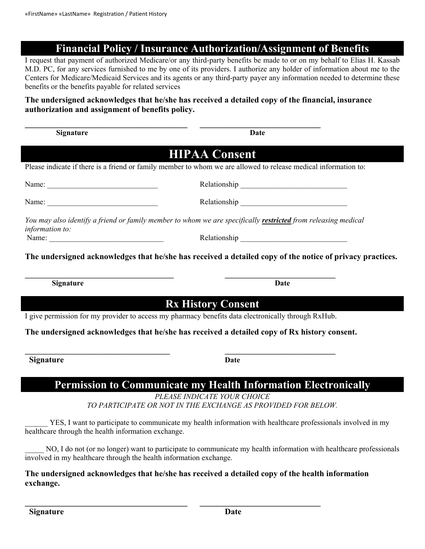## **Financial Policy / Insurance Authorization/Assignment of Benefits**

I request that payment of authorized Medicare/or any third-party benefits be made to or on my behalf to Elias H. Kassab M.D. PC, for any services furnished to me by one of its providers. I authorize any holder of information about me to the Centers for Medicare/Medicaid Services and its agents or any third-party payer any information needed to determine these benefits or the benefits payable for related services

## **The undersigned acknowledges that he/she has received a detailed copy of the financial, insurance authorization and assignment of benefits policy.**

| Signature                                                                                           | <b>Date</b>                                                                                                              |
|-----------------------------------------------------------------------------------------------------|--------------------------------------------------------------------------------------------------------------------------|
|                                                                                                     | <b>HIPAA Consent</b>                                                                                                     |
|                                                                                                     | Please indicate if there is a friend or family member to whom we are allowed to release medical information to:          |
| Name: $\frac{1}{\sqrt{1-\frac{1}{2}}\sqrt{1-\frac{1}{2}}\sqrt{1-\frac{1}{2}}\sqrt{1-\frac{1}{2}}}}$ |                                                                                                                          |
|                                                                                                     |                                                                                                                          |
| information to:                                                                                     | You may also identify a friend or family member to whom we are specifically restricted from releasing medical            |
| Name:                                                                                               |                                                                                                                          |
| <b>Signature</b>                                                                                    | The undersigned acknowledges that he/she has received a detailed copy of the notice of privacy practices.<br><b>Date</b> |
|                                                                                                     | <b>Rx History Consent</b>                                                                                                |
|                                                                                                     | I give permission for my provider to access my pharmacy benefits data electronically through RxHub.                      |
|                                                                                                     | The undersigned acknowledges that he/she has received a detailed copy of Rx history consent.                             |
| <b>Signature</b>                                                                                    | Date                                                                                                                     |
|                                                                                                     | <b>Permission to Communicate my Health Information Electronically</b><br>PLEASE INDICATE YOUR CHOICE                     |
|                                                                                                     | TO PARTICIPATE OR NOT IN THE EXCHANGE AS PROVIDED FOR BELOW.                                                             |
| healthcare through the health information exchange.                                                 | YES, I want to participate to communicate my health information with healthcare professionals involved in my             |

NO, I do not (or no longer) want to participate to communicate my health information with healthcare professionals involved in my healthcare through the health information exchange.

## **The undersigned acknowledges that he/she has received a detailed copy of the health information exchange.**

**\_\_\_\_\_\_\_\_\_\_\_\_\_\_\_\_\_\_\_\_\_\_\_\_\_\_\_\_\_\_\_\_\_\_\_\_\_\_\_ \_\_\_\_\_\_\_\_\_\_\_\_\_\_\_\_\_\_\_\_\_\_\_\_\_\_\_\_\_**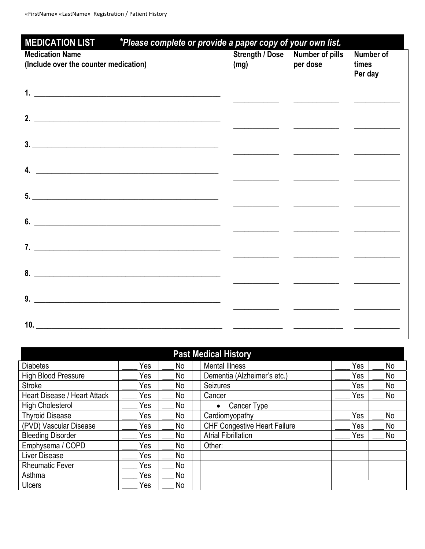| <b>MEDICATION LIST</b><br>*Please complete or provide a paper copy of your own list. |      |                                                                                                                                                                                                                                      |                               |  |  |
|--------------------------------------------------------------------------------------|------|--------------------------------------------------------------------------------------------------------------------------------------------------------------------------------------------------------------------------------------|-------------------------------|--|--|
| <b>Medication Name</b><br>(Include over the counter medication)                      | (mg) | Strength / Dose Number of pills<br>per dose                                                                                                                                                                                          | Number of<br>times<br>Per day |  |  |
| $1.$ $\overline{\phantom{a}}$                                                        |      |                                                                                                                                                                                                                                      |                               |  |  |
| 2. $\overline{\phantom{a}}$                                                          |      |                                                                                                                                                                                                                                      |                               |  |  |
| 3.                                                                                   |      |                                                                                                                                                                                                                                      |                               |  |  |
| 4. $\overline{\phantom{a}}$                                                          |      |                                                                                                                                                                                                                                      |                               |  |  |
| 5.                                                                                   |      |                                                                                                                                                                                                                                      |                               |  |  |
| 6. $\overline{\phantom{a}}$                                                          |      | <u> 1989 - John Harry Barn, mars and de la participation de la participation de la participation de la participation de la participation de la participation de la participation de la participation de la participation de la p</u> |                               |  |  |
|                                                                                      |      |                                                                                                                                                                                                                                      |                               |  |  |
|                                                                                      |      | <u> 1989 - Johann Harry Barn, mars and de Branch and de Branch and de Branch and de Branch and de Branch and de B</u>                                                                                                                |                               |  |  |
|                                                                                      |      | <u> 1990 - Johann John Harry Harry Harry Harry Harry Harry Harry Harry Harry Harry Harry Harry Harry Harry Harry</u>                                                                                                                 |                               |  |  |
|                                                                                      |      |                                                                                                                                                                                                                                      |                               |  |  |
| 10. $\overline{\phantom{a}}$                                                         |      |                                                                                                                                                                                                                                      |                               |  |  |

| <b>Past Medical History</b>  |     |    |  |                                     |     |    |  |
|------------------------------|-----|----|--|-------------------------------------|-----|----|--|
| <b>Diabetes</b>              | Yes | No |  | <b>Mental Illness</b>               | Yes | No |  |
| <b>High Blood Pressure</b>   | Yes | No |  | Dementia (Alzheimer's etc.)         | Yes | No |  |
| <b>Stroke</b>                | Yes | No |  | <b>Seizures</b>                     | Yes | No |  |
| Heart Disease / Heart Attack | Yes | No |  | Cancer                              | Yes | No |  |
| <b>High Cholesterol</b>      | Yes | No |  | Cancer Type<br>$\bullet$            |     |    |  |
| <b>Thyroid Disease</b>       | Yes | No |  | Cardiomyopathy                      | Yes | No |  |
| (PVD) Vascular Disease       | Yes | No |  | <b>CHF Congestive Heart Failure</b> | Yes | No |  |
| <b>Bleeding Disorder</b>     | Yes | No |  | <b>Atrial Fibrillation</b>          | Yes | No |  |
| Emphysema / COPD             | Yes | No |  | Other:                              |     |    |  |
| Liver Disease                | Yes | No |  |                                     |     |    |  |
| <b>Rheumatic Fever</b>       | Yes | No |  |                                     |     |    |  |
| Asthma                       | Yes | No |  |                                     |     |    |  |
| <b>Ulcers</b>                | Yes | No |  |                                     |     |    |  |